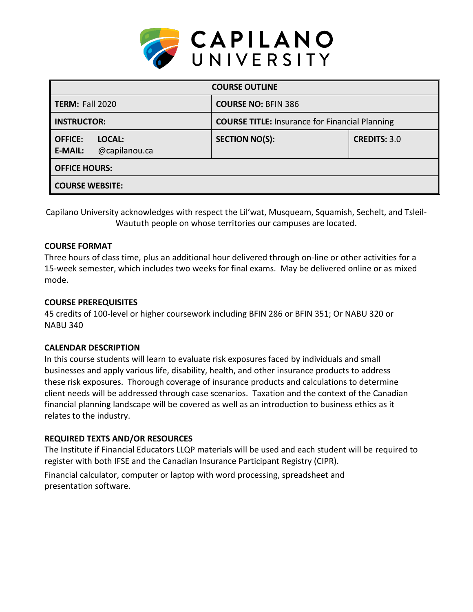

| <b>COURSE OUTLINE</b>                                       |                                                       |                     |  |  |  |
|-------------------------------------------------------------|-------------------------------------------------------|---------------------|--|--|--|
| <b>TERM: Fall 2020</b>                                      | <b>COURSE NO: BFIN 386</b>                            |                     |  |  |  |
| <b>INSTRUCTOR:</b>                                          | <b>COURSE TITLE: Insurance for Financial Planning</b> |                     |  |  |  |
| <b>OFFICE:</b><br>LOCAL:<br>@capilanou.ca<br><b>E-MAIL:</b> | <b>SECTION NO(S):</b>                                 | <b>CREDITS: 3.0</b> |  |  |  |
| <b>OFFICE HOURS:</b>                                        |                                                       |                     |  |  |  |
| <b>COURSE WEBSITE:</b>                                      |                                                       |                     |  |  |  |

Capilano University acknowledges with respect the Lil'wat, Musqueam, Squamish, Sechelt, and Tsleil-Waututh people on whose territories our campuses are located.

### **COURSE FORMAT**

Three hours of class time, plus an additional hour delivered through on-line or other activities for a 15-week semester, which includes two weeks for final exams. May be delivered online or as mixed mode.

### **COURSE PREREQUISITES**

45 credits of 100-level or higher coursework including BFIN 286 or BFIN 351; Or NABU 320 or NABU 340

# **CALENDAR DESCRIPTION**

In this course students will learn to evaluate risk exposures faced by individuals and small businesses and apply various life, disability, health, and other insurance products to address these risk exposures. Thorough coverage of insurance products and calculations to determine client needs will be addressed through case scenarios. Taxation and the context of the Canadian financial planning landscape will be covered as well as an introduction to business ethics as it relates to the industry.

# **REQUIRED TEXTS AND/OR RESOURCES**

The Institute if Financial Educators LLQP materials will be used and each student will be required to register with both IFSE and the Canadian Insurance Participant Registry (CIPR).

Financial calculator, computer or laptop with word processing, spreadsheet and presentation software.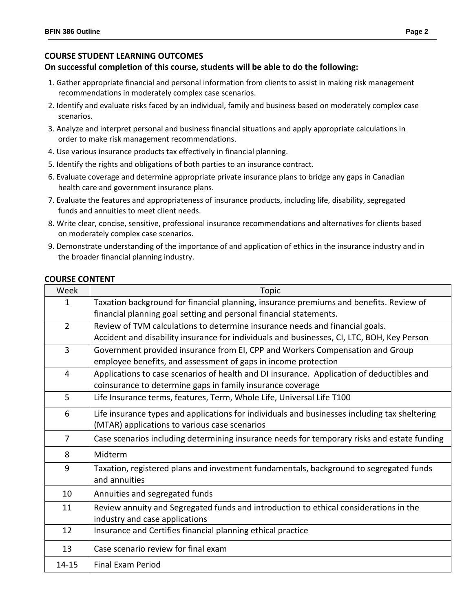## **COURSE STUDENT LEARNING OUTCOMES**

#### **On successful completion of this course, students will be able to do the following:**

- 1. Gather appropriate financial and personal information from clients to assist in making risk management recommendations in moderately complex case scenarios.
- 2. Identify and evaluate risks faced by an individual, family and business based on moderately complex case scenarios.
- 3. Analyze and interpret personal and business financial situations and apply appropriate calculations in order to make risk management recommendations.
- 4. Use various insurance products tax effectively in financial planning.
- 5. Identify the rights and obligations of both parties to an insurance contract.
- 6. Evaluate coverage and determine appropriate private insurance plans to bridge any gaps in Canadian health care and government insurance plans.
- 7. Evaluate the features and appropriateness of insurance products, including life, disability, segregated funds and annuities to meet client needs.
- 8. Write clear, concise, sensitive, professional insurance recommendations and alternatives for clients based on moderately complex case scenarios.
- 9. Demonstrate understanding of the importance of and application of ethics in the insurance industry and in the broader financial planning industry.

#### **COURSE CONTENT**

| Week           | Topic                                                                                         |  |  |  |  |  |
|----------------|-----------------------------------------------------------------------------------------------|--|--|--|--|--|
| 1              | Taxation background for financial planning, insurance premiums and benefits. Review of        |  |  |  |  |  |
|                | financial planning goal setting and personal financial statements.                            |  |  |  |  |  |
| $\overline{2}$ | Review of TVM calculations to determine insurance needs and financial goals.                  |  |  |  |  |  |
|                | Accident and disability insurance for individuals and businesses, CI, LTC, BOH, Key Person    |  |  |  |  |  |
| 3              | Government provided insurance from EI, CPP and Workers Compensation and Group                 |  |  |  |  |  |
|                | employee benefits, and assessment of gaps in income protection                                |  |  |  |  |  |
| 4              | Applications to case scenarios of health and DI insurance. Application of deductibles and     |  |  |  |  |  |
|                | coinsurance to determine gaps in family insurance coverage                                    |  |  |  |  |  |
| 5              | Life Insurance terms, features, Term, Whole Life, Universal Life T100                         |  |  |  |  |  |
| 6              | Life insurance types and applications for individuals and businesses including tax sheltering |  |  |  |  |  |
|                | (MTAR) applications to various case scenarios                                                 |  |  |  |  |  |
| $\overline{7}$ | Case scenarios including determining insurance needs for temporary risks and estate funding   |  |  |  |  |  |
| 8              | Midterm                                                                                       |  |  |  |  |  |
| 9              | Taxation, registered plans and investment fundamentals, background to segregated funds        |  |  |  |  |  |
|                | and annuities                                                                                 |  |  |  |  |  |
| 10             | Annuities and segregated funds                                                                |  |  |  |  |  |
| 11             | Review annuity and Segregated funds and introduction to ethical considerations in the         |  |  |  |  |  |
|                | industry and case applications                                                                |  |  |  |  |  |
| 12             | Insurance and Certifies financial planning ethical practice                                   |  |  |  |  |  |
| 13             | Case scenario review for final exam                                                           |  |  |  |  |  |
| $14 - 15$      | <b>Final Exam Period</b>                                                                      |  |  |  |  |  |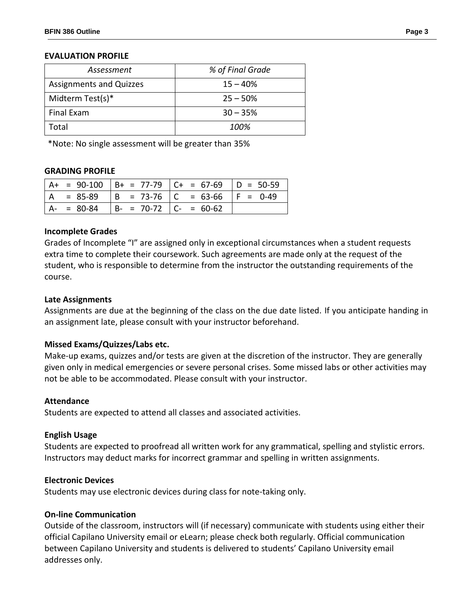#### **EVALUATION PROFILE**

| Assessment                     | % of Final Grade |  |
|--------------------------------|------------------|--|
| <b>Assignments and Quizzes</b> | $15 - 40%$       |  |
| Midterm Test(s)*               | $25 - 50%$       |  |
| <b>Final Exam</b>              | $30 - 35%$       |  |
| Total                          | 100%             |  |

\*Note: No single assessment will be greater than 35%

#### **GRADING PROFILE**

|               |                              | $ $ A+ = 90-100 $ $ B+ = 77-79 $ $ C+ = 67-69 $ $ D = 50-59 |  |
|---------------|------------------------------|-------------------------------------------------------------|--|
|               |                              | . = 85-89   B = 73-76   C = 63-66   F = 0-49                |  |
| $A - = 80-84$ | $ B- = 70-72 $ $ C- = 60-62$ |                                                             |  |

#### **Incomplete Grades**

Grades of Incomplete "I" are assigned only in exceptional circumstances when a student requests extra time to complete their coursework. Such agreements are made only at the request of the student, who is responsible to determine from the instructor the outstanding requirements of the course.

#### **Late Assignments**

Assignments are due at the beginning of the class on the due date listed. If you anticipate handing in an assignment late, please consult with your instructor beforehand.

#### **Missed Exams/Quizzes/Labs etc.**

Make-up exams, quizzes and/or tests are given at the discretion of the instructor. They are generally given only in medical emergencies or severe personal crises. Some missed labs or other activities may not be able to be accommodated. Please consult with your instructor.

#### **Attendance**

Students are expected to attend all classes and associated activities.

#### **English Usage**

Students are expected to proofread all written work for any grammatical, spelling and stylistic errors. Instructors may deduct marks for incorrect grammar and spelling in written assignments.

#### **Electronic Devices**

Students may use electronic devices during class for note-taking only.

### **On-line Communication**

Outside of the classroom, instructors will (if necessary) communicate with students using either their official Capilano University email or eLearn; please check both regularly. Official communication between Capilano University and students is delivered to students' Capilano University email addresses only.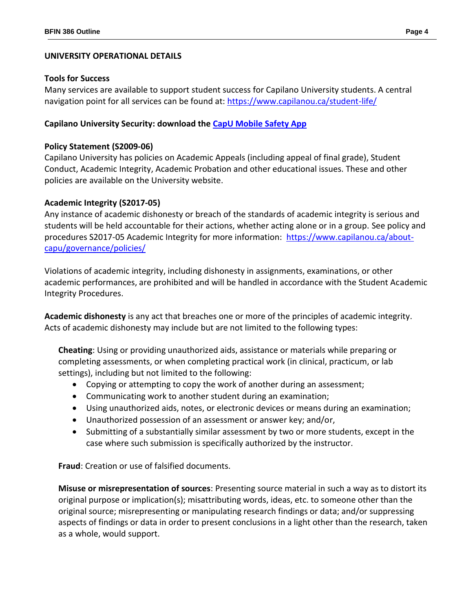# **UNIVERSITY OPERATIONAL DETAILS**

## **Tools for Success**

Many services are available to support student success for Capilano University students. A central navigation point for all services can be found at:<https://www.capilanou.ca/student-life/>

# **Capilano University Security: download the [CapU Mobile Safety App](https://www.capilanou.ca/student-life/support--wellness/safety--security/capu-safe-app/)**

# **Policy Statement (S2009-06)**

Capilano University has policies on Academic Appeals (including appeal of final grade), Student Conduct, Academic Integrity, Academic Probation and other educational issues. These and other policies are available on the University website.

### **Academic Integrity (S2017-05)**

Any instance of academic dishonesty or breach of the standards of academic integrity is serious and students will be held accountable for their actions, whether acting alone or in a group. See policy and procedures S2017-05 Academic Integrity for more information: [https://www.capilanou.ca/about](https://www.capilanou.ca/about-capu/governance/policies/)[capu/governance/policies/](https://www.capilanou.ca/about-capu/governance/policies/)

Violations of academic integrity, including dishonesty in assignments, examinations, or other academic performances, are prohibited and will be handled in accordance with the Student Academic Integrity Procedures.

**Academic dishonesty** is any act that breaches one or more of the principles of academic integrity. Acts of academic dishonesty may include but are not limited to the following types:

**Cheating**: Using or providing unauthorized aids, assistance or materials while preparing or completing assessments, or when completing practical work (in clinical, practicum, or lab settings), including but not limited to the following:

- Copying or attempting to copy the work of another during an assessment;
- Communicating work to another student during an examination;
- Using unauthorized aids, notes, or electronic devices or means during an examination;
- Unauthorized possession of an assessment or answer key; and/or,
- Submitting of a substantially similar assessment by two or more students, except in the case where such submission is specifically authorized by the instructor.

**Fraud**: Creation or use of falsified documents.

**Misuse or misrepresentation of sources**: Presenting source material in such a way as to distort its original purpose or implication(s); misattributing words, ideas, etc. to someone other than the original source; misrepresenting or manipulating research findings or data; and/or suppressing aspects of findings or data in order to present conclusions in a light other than the research, taken as a whole, would support.